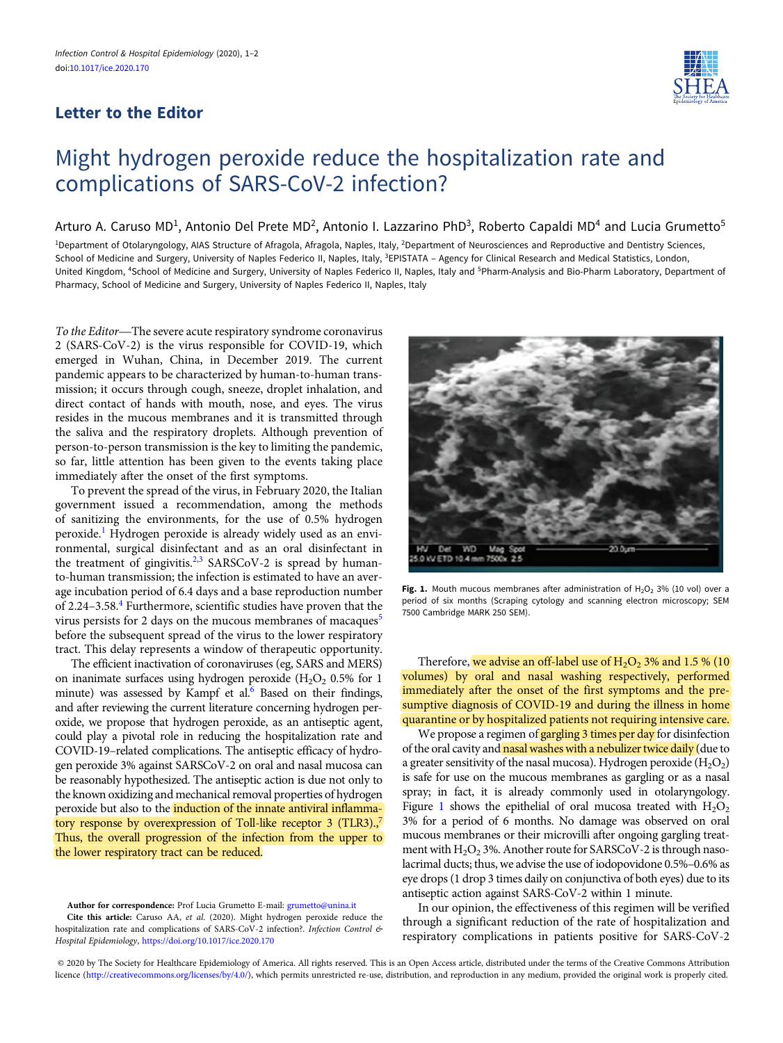## Letter to the Editor



## Might hydrogen peroxide reduce the hospitalization rate and complications of SARS-CoV-2 infection?

## Arturo A. Caruso MD<sup>1</sup>, Antonio Del Prete MD<sup>2</sup>, Antonio I. Lazzarino PhD<sup>3</sup>, Roberto Capaldi MD<sup>4</sup> and Lucia Grumetto<sup>5</sup>

<sup>1</sup>Department of Otolaryngology, AIAS Structure of Afragola, Afragola, Naples, Italy, <sup>2</sup>Department of Neurosciences and Reproductive and Dentistry Sciences, School of Medicine and Surgery, University of Naples Federico II, Naples, Italy, <sup>3</sup>EPISTATA - Agency for Clinical Research and Medical Statistics, London, United Kingdom, <sup>4</sup>School of Medicine and Surgery, University of Naples Federico II, Naples, Italy and <sup>5</sup>Pharm-Analysis and Bio-Pharm Laboratory, Department of Pharmacy, School of Medicine and Surgery, University of Naples Federico II, Naples, Italy

To the Editor—The severe acute respiratory syndrome coronavirus 2 (SARS-CoV-2) is the virus responsible for COVID-19, which emerged in Wuhan, China, in December 2019. The current pandemic appears to be characterized by human-to-human transmission; it occurs through cough, sneeze, droplet inhalation, and direct contact of hands with mouth, nose, and eyes. The virus resides in the mucous membranes and it is transmitted through the saliva and the respiratory droplets. Although prevention of person-to-person transmission is the key to limiting the pandemic, so far, little attention has been given to the events taking place immediately after the onset of the first symptoms.

To prevent the spread of the virus, in February 2020, the Italian government issued a recommendation, among the methods of sanitizing the environments, for the use of 0.5% hydrogen peroxide.[1](#page-1-0) Hydrogen peroxide is already widely used as an environmental, surgical disinfectant and as an oral disinfectant in the treatment of gingivitis.<sup>[2,3](#page-1-0)</sup> SARSCoV-2 is spread by humanto-human transmission; the infection is estimated to have an average incubation period of 6.4 days and a base reproduction number of 2.24–3.58.[4](#page-1-0) Furthermore, scientific studies have proven that the virus persists for 2 days on the mucous membranes of macaques<sup>[5](#page-1-0)</sup> before the subsequent spread of the virus to the lower respiratory tract. This delay represents a window of therapeutic opportunity.

The efficient inactivation of coronaviruses (eg, SARS and MERS) on inanimate surfaces using hydrogen peroxide  $(H<sub>2</sub>O<sub>2</sub> 0.5%$  for 1 minute) was assessed by Kampf et al.<sup>6</sup> Based on their findings, and after reviewing the current literature concerning hydrogen peroxide, we propose that hydrogen peroxide, as an antiseptic agent, could play a pivotal role in reducing the hospitalization rate and COVID-19–related complications. The antiseptic efficacy of hydrogen peroxide 3% against SARSCoV-2 on oral and nasal mucosa can be reasonably hypothesized. The antiseptic action is due not only to the known oxidizing and mechanical removal properties of hydrogen peroxide but also to the induction of the innate antiviral inflamma-tory response by overexpression of Toll-like receptor 3 (TLR3).,<sup>[7](#page-1-0)</sup> Thus, the overall progression of the infection from the upper to the lower respiratory tract can be reduced.

Cite this article: Caruso AA, et al. (2020). Might hydrogen peroxide reduce the hospitalization rate and complications of SARS-CoV-2 infection?. Infection Control & Hospital Epidemiology, <https://doi.org/10.1017/ice.2020.170>



Fig. 1. Mouth mucous membranes after administration of  $H_2O_2$  3% (10 vol) over a period of six months (Scraping cytology and scanning electron microscopy; SEM 7500 Cambridge MARK 250 SEM).

Therefore, we advise an off-label use of  $H_2O_2$  3% and 1.5 % (10) volumes) by oral and nasal washing respectively, performed immediately after the onset of the first symptoms and the presumptive diagnosis of COVID-19 and during the illness in home quarantine or by hospitalized patients not requiring intensive care.

We propose a regimen of gargling 3 times per day for disinfection of the oral cavity and nasal washes with a nebulizer twice daily (due to a greater sensitivity of the nasal mucosa). Hydrogen peroxide  $(H_2O_2)$ is safe for use on the mucous membranes as gargling or as a nasal spray; in fact, it is already commonly used in otolaryngology. Figure 1 shows the epithelial of oral mucosa treated with  $H_2O_2$ 3% for a period of 6 months. No damage was observed on oral mucous membranes or their microvilli after ongoing gargling treatment with  $H_2O_2$  3%. Another route for SARSCoV-2 is through nasolacrimal ducts; thus, we advise the use of iodopovidone 0.5%–0.6% as eye drops (1 drop 3 times daily on conjunctiva of both eyes) due to its antiseptic action against SARS-CoV-2 within 1 minute.

In our opinion, the effectiveness of this regimen will be verified through a significant reduction of the rate of hospitalization and respiratory complications in patients positive for SARS-CoV-2

© 2020 by The Society for Healthcare Epidemiology of America. All rights reserved. This is an Open Access article, distributed under the terms of the Creative Commons Attribution licence ([http://creativecommons.org/licenses/by/4.0/\)](http://creativecommons.org/licenses/by/4.0/), which permits unrestricted re-use, distribution, and reproduction in any medium, provided the original work is properly cited.

Author for correspondence: Prof Lucia Grumetto E-mail: [grumetto@unina.it](mailto:grumetto@unina.it)